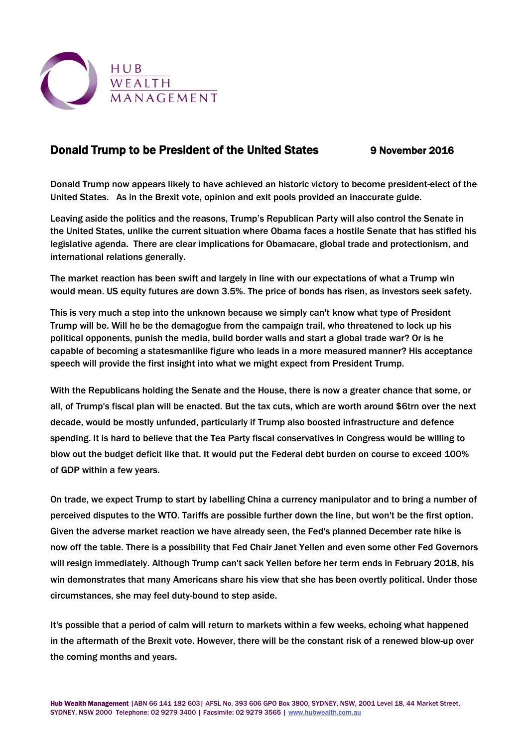

## Donald Trump to be President of the United States 9 November 2016

Donald Trump now appears likely to have achieved an historic victory to become president-elect of the United States. As in the Brexit vote, opinion and exit pools provided an inaccurate guide.

Leaving aside the politics and the reasons, Trump's Republican Party will also control the Senate in the United States, unlike the current situation where Obama faces a hostile Senate that has stifled his legislative agenda. There are clear implications for Obamacare, global trade and protectionism, and international relations generally.

The market reaction has been swift and largely in line with our expectations of what a Trump win would mean. US equity futures are down 3.5%. The price of bonds has risen, as investors seek safety.

This is very much a step into the unknown because we simply can't know what type of President Trump will be. Will he be the demagogue from the campaign trail, who threatened to lock up his political opponents, punish the media, build border walls and start a global trade war? Or is he capable of becoming a statesmanlike figure who leads in a more measured manner? His acceptance speech will provide the first insight into what we might expect from President Trump.

With the Republicans holding the Senate and the House, there is now a greater chance that some, or all, of Trump's fiscal plan will be enacted. But the tax cuts, which are worth around \$6trn over the next decade, would be mostly unfunded, particularly if Trump also boosted infrastructure and defence spending. It is hard to believe that the Tea Party fiscal conservatives in Congress would be willing to blow out the budget deficit like that. It would put the Federal debt burden on course to exceed 100% of GDP within a few years.

On trade, we expect Trump to start by labelling China a currency manipulator and to bring a number of perceived disputes to the WTO. Tariffs are possible further down the line, but won't be the first option. Given the adverse market reaction we have already seen, the Fed's planned December rate hike is now off the table. There is a possibility that Fed Chair Janet Yellen and even some other Fed Governors will resign immediately. Although Trump can't sack Yellen before her term ends in February 2018, his win demonstrates that many Americans share his view that she has been overtly political. Under those circumstances, she may feel duty-bound to step aside.

It's possible that a period of calm will return to markets within a few weeks, echoing what happened in the aftermath of the Brexit vote. However, there will be the constant risk of a renewed blow-up over the coming months and years.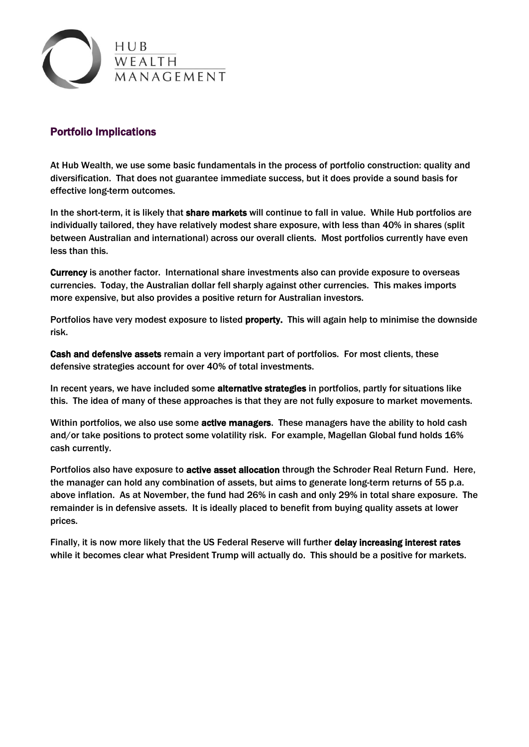

## Portfolio Implications

At Hub Wealth, we use some basic fundamentals in the process of portfolio construction: quality and diversification. That does not guarantee immediate success, but it does provide a sound basis for effective long-term outcomes.

In the short-term, it is likely that share markets will continue to fall in value. While Hub portfolios are individually tailored, they have relatively modest share exposure, with less than 40% in shares (split between Australian and international) across our overall clients. Most portfolios currently have even less than this.

Currency is another factor. International share investments also can provide exposure to overseas currencies. Today, the Australian dollar fell sharply against other currencies. This makes imports more expensive, but also provides a positive return for Australian investors.

Portfolios have very modest exposure to listed property. This will again help to minimise the downside risk.

Cash and defensive assets remain a very important part of portfolios. For most clients, these defensive strategies account for over 40% of total investments.

In recent years, we have included some **alternative strategies** in portfolios, partly for situations like this. The idea of many of these approaches is that they are not fully exposure to market movements.

Within portfolios, we also use some active managers. These managers have the ability to hold cash and/or take positions to protect some volatility risk. For example, Magellan Global fund holds 16% cash currently.

Portfolios also have exposure to active asset allocation through the Schroder Real Return Fund. Here, the manager can hold any combination of assets, but aims to generate long-term returns of 55 p.a. above inflation. As at November, the fund had 26% in cash and only 29% in total share exposure. The remainder is in defensive assets. It is ideally placed to benefit from buying quality assets at lower prices.

Finally, it is now more likely that the US Federal Reserve will further delay increasing interest rates while it becomes clear what President Trump will actually do. This should be a positive for markets.